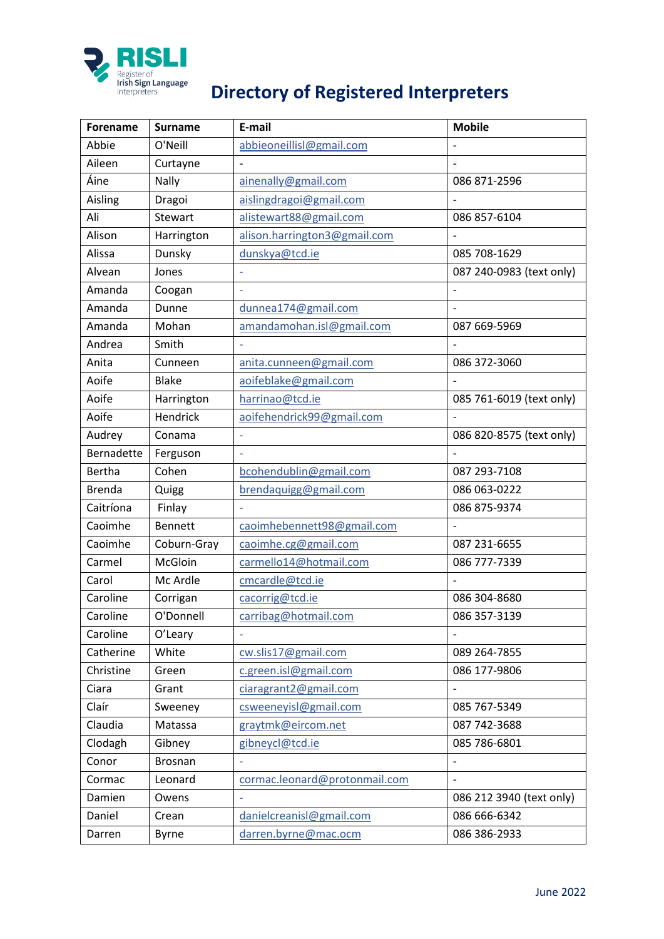

## **PRISLE**<br> **Register of**<br> **Directory of Registered Interpreters**

| Forename      | <b>Surname</b> | E-mail                        | <b>Mobile</b>            |
|---------------|----------------|-------------------------------|--------------------------|
| Abbie         | O'Neill        | abbieoneillisl@gmail.com      |                          |
| Aileen        | Curtayne       |                               |                          |
| Áine          | Nally          | ainenally@gmail.com           | 086 871-2596             |
| Aisling       | Dragoi         | aislingdragoi@gmail.com       |                          |
| Ali           | Stewart        | alistewart88@gmail.com        | 086 857-6104             |
| Alison        | Harrington     | alison.harrington3@gmail.com  |                          |
| Alissa        | Dunsky         | dunskya@tcd.ie                | 085 708-1629             |
| Alvean        | Jones          |                               | 087 240-0983 (text only) |
| Amanda        | Coogan         |                               |                          |
| Amanda        | Dunne          | dunnea174@gmail.com           | $\overline{\phantom{m}}$ |
| Amanda        | Mohan          | amandamohan.isl@gmail.com     | 087 669-5969             |
| Andrea        | Smith          |                               |                          |
| Anita         | Cunneen        | anita.cunneen@gmail.com       | 086 372-3060             |
| Aoife         | <b>Blake</b>   | aoifeblake@gmail.com          |                          |
| Aoife         | Harrington     | harrinao@tcd.ie               | 085 761-6019 (text only) |
| Aoife         | Hendrick       | aoifehendrick99@gmail.com     | $\overline{a}$           |
| Audrey        | Conama         |                               | 086 820-8575 (text only) |
| Bernadette    | Ferguson       |                               |                          |
| <b>Bertha</b> | Cohen          | bcohendublin@gmail.com        | 087 293-7108             |
| <b>Brenda</b> | Quigg          | brendaquigg@gmail.com         | 086 063-0222             |
| Caitríona     | Finlay         |                               | 086 875-9374             |
| Caoimhe       | <b>Bennett</b> | caoimhebennett98@gmail.com    |                          |
| Caoimhe       | Coburn-Gray    | caoimhe.cg@gmail.com          | 087 231-6655             |
| Carmel        | McGloin        | carmello14@hotmail.com        | 086 777-7339             |
| Carol         | Mc Ardle       | cmcardle@tcd.ie               |                          |
| Caroline      | Corrigan       | cacorrig@tcd.ie               | 086 304-8680             |
| Caroline      | O'Donnell      | carribag@hotmail.com          | 086 357-3139             |
| Caroline      | O'Leary        |                               |                          |
| Catherine     | White          | cw.slis17@gmail.com           | 089 264-7855             |
| Christine     | Green          | c.green.isl@gmail.com         | 086 177-9806             |
| Ciara         | Grant          | ciaragrant2@gmail.com         |                          |
| Claír         | Sweeney        | csweeneyisl@gmail.com         | 085 767-5349             |
| Claudia       | Matassa        | graytmk@eircom.net            | 087 742-3688             |
| Clodagh       | Gibney         | gibneycl@tcd.ie               | 085 786-6801             |
| Conor         | <b>Brosnan</b> |                               |                          |
| Cormac        | Leonard        | cormac.leonard@protonmail.com |                          |
| Damien        | Owens          | ä,                            | 086 212 3940 (text only) |
| Daniel        | Crean          | danielcreanisl@gmail.com      | 086 666-6342             |
| Darren        | <b>Byrne</b>   | darren.byrne@mac.ocm          | 086 386-2933             |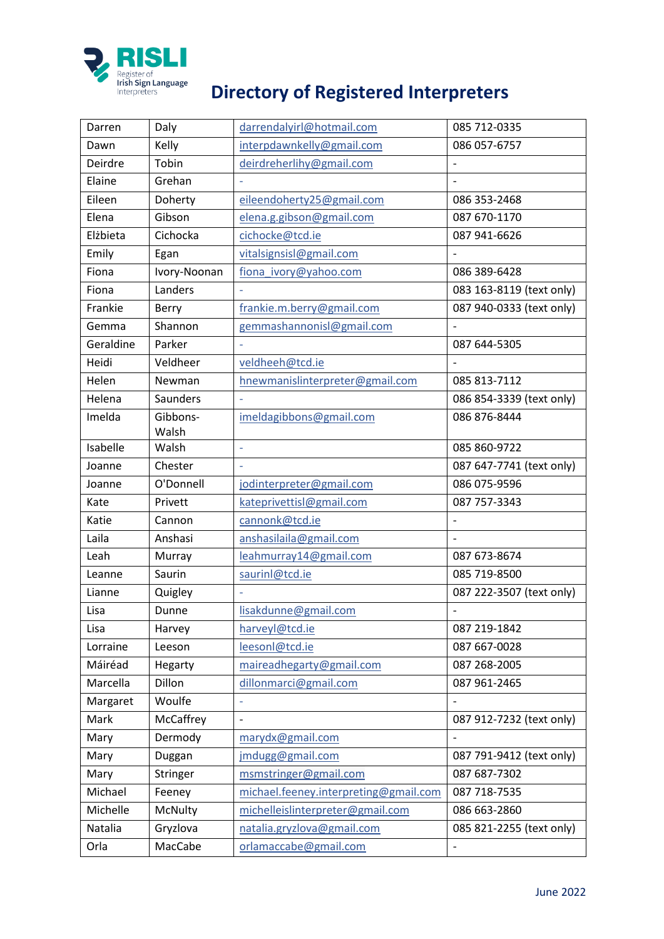

## **PRISLE**<br> **Register of**<br> **Directory of Registered Interpreters**

| Darren    | Daly              | darrendalyirl@hotmail.com             | 085 712-0335             |
|-----------|-------------------|---------------------------------------|--------------------------|
| Dawn      | Kelly             | interpdawnkelly@gmail.com             | 086 057-6757             |
| Deirdre   | Tobin             | deirdreherlihy@gmail.com              | $\overline{a}$           |
| Elaine    | Grehan            |                                       |                          |
| Eileen    | Doherty           | eileendoherty25@gmail.com             | 086 353-2468             |
| Elena     | Gibson            | elena.g.gibson@gmail.com              | 087 670-1170             |
| Elżbieta  | Cichocka          | cichocke@tcd.ie                       | 087 941-6626             |
| Emily     | Egan              | vitalsignsisl@gmail.com               | $\overline{a}$           |
| Fiona     | Ivory-Noonan      | fiona ivory@yahoo.com                 | 086 389-6428             |
| Fiona     | Landers           |                                       | 083 163-8119 (text only) |
| Frankie   | Berry             | frankie.m.berry@gmail.com             | 087 940-0333 (text only) |
| Gemma     | Shannon           | gemmashannonisl@gmail.com             |                          |
| Geraldine | Parker            |                                       | 087 644-5305             |
| Heidi     | Veldheer          | veldheeh@tcd.ie                       | $\qquad \qquad -$        |
| Helen     | Newman            | hnewmanislinterpreter@gmail.com       | 085 813-7112             |
| Helena    | <b>Saunders</b>   |                                       | 086 854-3339 (text only) |
| Imelda    | Gibbons-<br>Walsh | imeldagibbons@gmail.com               | 086 876-8444             |
| Isabelle  | Walsh             | $\overline{\phantom{a}}$              | 085 860-9722             |
| Joanne    | Chester           |                                       | 087 647-7741 (text only) |
| Joanne    | O'Donnell         | jodinterpreter@gmail.com              | 086 075-9596             |
| Kate      | Privett           | kateprivettisl@gmail.com              | 087 757-3343             |
| Katie     | Cannon            | cannonk@tcd.ie                        | $\overline{\phantom{0}}$ |
| Laila     | Anshasi           | anshasilaila@gmail.com                |                          |
| Leah      | Murray            | leahmurray14@gmail.com                | 087 673-8674             |
| Leanne    | Saurin            | saurinl@tcd.ie                        | 085 719-8500             |
| Lianne    | Quigley           |                                       | 087 222-3507 (text only) |
| Lisa      | Dunne             | lisakdunne@gmail.com                  | $\overline{\phantom{0}}$ |
| Lisa      | Harvey            | harveyl@tcd.ie                        | 087 219-1842             |
| Lorraine  | Leeson            | leesonl@tcd.ie                        | 087 667-0028             |
| Máiréad   | Hegarty           | maireadhegarty@gmail.com              | 087 268-2005             |
| Marcella  | Dillon            | dillonmarci@gmail.com                 | 087 961-2465             |
| Margaret  | Woulfe            | ÷,                                    |                          |
| Mark      | McCaffrey         | $\overline{a}$                        | 087 912-7232 (text only) |
| Mary      | Dermody           | marydx@gmail.com                      |                          |
| Mary      | Duggan            | jmdugg@gmail.com                      | 087 791-9412 (text only) |
| Mary      | Stringer          | msmstringer@gmail.com                 | 087 687-7302             |
| Michael   | Feeney            | michael.feeney.interpreting@gmail.com | 087 718-7535             |
| Michelle  | McNulty           | michelleislinterpreter@gmail.com      | 086 663-2860             |
| Natalia   | Gryzlova          | natalia.gryzlova@gmail.com            | 085 821-2255 (text only) |
| Orla      | MacCabe           | orlamaccabe@gmail.com                 |                          |